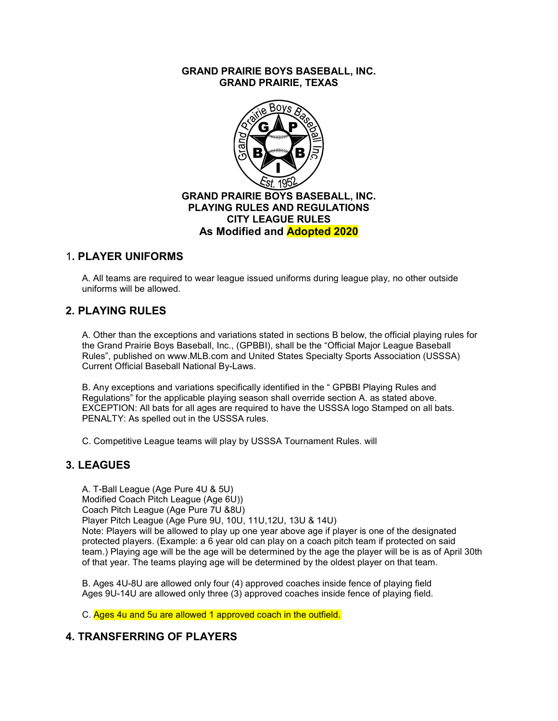GRAND PRAIRIE BOYS BASEBALL, INC. GRAND PRAIRIE, TEXAS



#### 1. PLAYER UNIFORMS

A. All teams are required to wear league issued uniforms during league play, no other outside uniforms will be allowed.

# 2. PLAYING RULES

A. Other than the exceptions and variations stated in sections B below, the official playing rules for the Grand Prairie Boys Baseball, Inc., (GPBBI), shall be the "Official Major League Baseball Rules", published on www.MLB.com and United States Specialty Sports Association (USSSA) Current Official Baseball National By-Laws.

B. Any exceptions and variations specifically identified in the " GPBBI Playing Rules and Regulations" for the applicable playing season shall override section A. as stated above. EXCEPTION: All bats for all ages are required to have the USSSA logo Stamped on all bats. PENALTY: As spelled out in the USSSA rules.

C. Competitive League teams will play by USSSA Tournament Rules. will

#### 3. LEAGUES

A. T-Ball League (Age Pure 4U & 5U) Modified Coach Pitch League (Age 6U)) Coach Pitch League (Age Pure 7U &8U) Player Pitch League (Age Pure 9U, 10U, 11U,12U, 13U & 14U) Note: Players will be allowed to play up one year above age if player is one of the designated protected players. (Example: a 6 year old can play on a coach pitch team if protected on said team.) Playing age will be the age will be determined by the age the player will be is as of April 30th of that year. The teams playing age will be determined by the oldest player on that team.

B. Ages 4U-8U are allowed only four (4) approved coaches inside fence of playing field Ages 9U-14U are allowed only three (3) approved coaches inside fence of playing field.

C. Ages 4u and 5u are allowed 1 approved coach in the outfield.

# 4. TRANSFERRING OF PLAYERS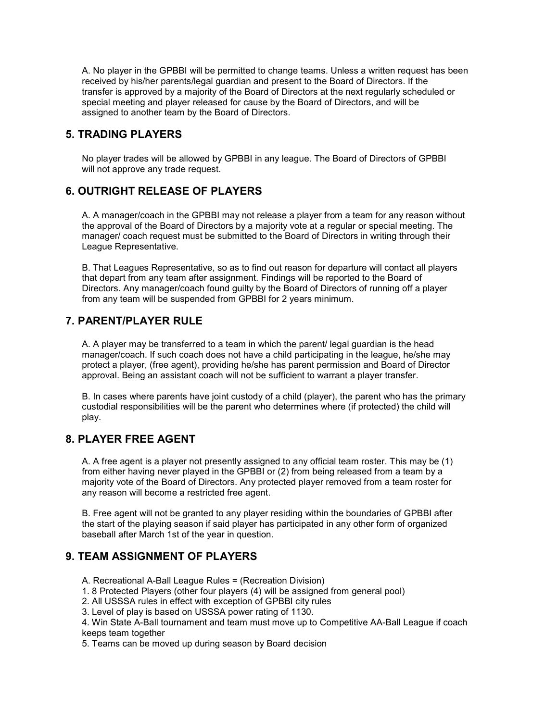A. No player in the GPBBI will be permitted to change teams. Unless a written request has been received by his/her parents/legal guardian and present to the Board of Directors. If the transfer is approved by a majority of the Board of Directors at the next regularly scheduled or special meeting and player released for cause by the Board of Directors, and will be assigned to another team by the Board of Directors.

# 5. TRADING PLAYERS

No player trades will be allowed by GPBBI in any league. The Board of Directors of GPBBI will not approve any trade request.

# 6. OUTRIGHT RELEASE OF PLAYERS

A. A manager/coach in the GPBBI may not release a player from a team for any reason without the approval of the Board of Directors by a majority vote at a regular or special meeting. The manager/ coach request must be submitted to the Board of Directors in writing through their League Representative.

B. That Leagues Representative, so as to find out reason for departure will contact all players that depart from any team after assignment. Findings will be reported to the Board of Directors. Any manager/coach found guilty by the Board of Directors of running off a player from any team will be suspended from GPBBI for 2 years minimum.

# 7. PARENT/PLAYER RULE

A. A player may be transferred to a team in which the parent/ legal guardian is the head manager/coach. If such coach does not have a child participating in the league, he/she may protect a player, (free agent), providing he/she has parent permission and Board of Director approval. Being an assistant coach will not be sufficient to warrant a player transfer.

B. In cases where parents have joint custody of a child (player), the parent who has the primary custodial responsibilities will be the parent who determines where (if protected) the child will play.

# 8. PLAYER FREE AGENT

A. A free agent is a player not presently assigned to any official team roster. This may be (1) from either having never played in the GPBBI or (2) from being released from a team by a majority vote of the Board of Directors. Any protected player removed from a team roster for any reason will become a restricted free agent.

B. Free agent will not be granted to any player residing within the boundaries of GPBBI after the start of the playing season if said player has participated in any other form of organized baseball after March 1st of the year in question.

# 9. TEAM ASSIGNMENT OF PLAYERS

A. Recreational A-Ball League Rules = (Recreation Division)

- 1. 8 Protected Players (other four players (4) will be assigned from general pool)
- 2. All USSSA rules in effect with exception of GPBBI city rules
- 3. Level of play is based on USSSA power rating of 1130.

4. Win State A-Ball tournament and team must move up to Competitive AA-Ball League if coach keeps team together

5. Teams can be moved up during season by Board decision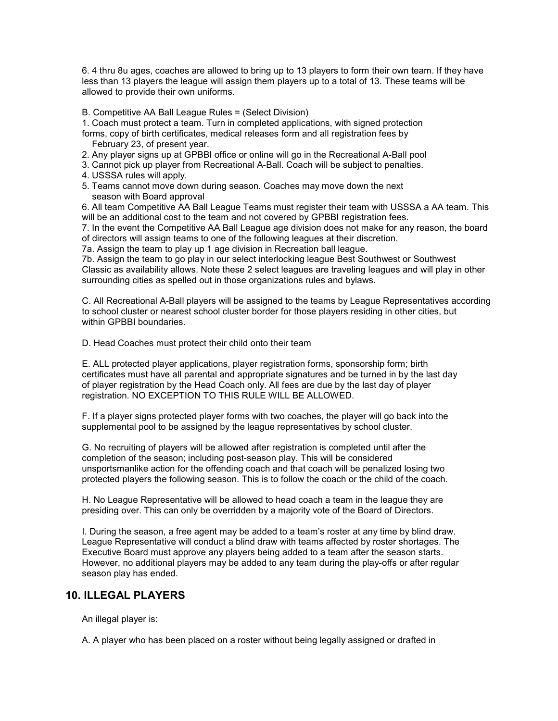6. 4 thru 8u ages, coaches are allowed to bring up to 13 players to form their own team. If they have less than 13 players the league will assign them players up to a total of 13. These teams will be allowed to provide their own uniforms.

B. Competitive AA Ball League Rules = (Select Division)

1. Coach must protect a team. Turn in completed applications, with signed protection

- forms, copy of birth certificates, medical releases form and all registration fees by February 23, of present year.
- 2. Any player signs up at GPBBI office or online will go in the Recreational A-Ball pool
- 3. Cannot pick up player from Recreational A-Ball. Coach will be subject to penalties.
- 4. USSSA rules will apply.
- 5. Teams cannot move down during season. Coaches may move down the next season with Board approval

6. All team Competitive AA Ball League Teams must register their team with USSSA a AA team. This will be an additional cost to the team and not covered by GPBBI registration fees.

7. In the event the Competitive AA Ball League age division does not make for any reason, the board of directors will assign teams to one of the following leagues at their discretion.

7a. Assign the team to play up 1 age division in Recreation ball league.

7b. Assign the team to go play in our select interlocking league Best Southwest or Southwest Classic as availability allows. Note these 2 select leagues are traveling leagues and will play in other surrounding cities as spelled out in those organizations rules and bylaws.

C. All Recreational A-Ball players will be assigned to the teams by League Representatives according to school cluster or nearest school cluster border for those players residing in other cities, but within GPBBI boundaries.

D. Head Coaches must protect their child onto their team

E. ALL protected player applications, player registration forms, sponsorship form; birth certificates must have all parental and appropriate signatures and be turned in by the last day of player registration by the Head Coach only. All fees are due by the last day of player registration. NO EXCEPTION TO THIS RULE WILL BE ALLOWED.

F. If a player signs protected player forms with two coaches, the player will go back into the supplemental pool to be assigned by the league representatives by school cluster.

G. No recruiting of players will be allowed after registration is completed until after the completion of the season; including post-season play. This will be considered unsportsmanlike action for the offending coach and that coach will be penalized losing two protected players the following season. This is to follow the coach or the child of the coach.

H. No League Representative will be allowed to head coach a team in the league they are presiding over. This can only be overridden by a majority vote of the Board of Directors.

I. During the season, a free agent may be added to a team's roster at any time by blind draw. League Representative will conduct a blind draw with teams affected by roster shortages. The Executive Board must approve any players being added to a team after the season starts. However, no additional players may be added to any team during the play-offs or after regular season play has ended.

# 10. ILLEGAL PLAYERS

An illegal player is:

A. A player who has been placed on a roster without being legally assigned or drafted in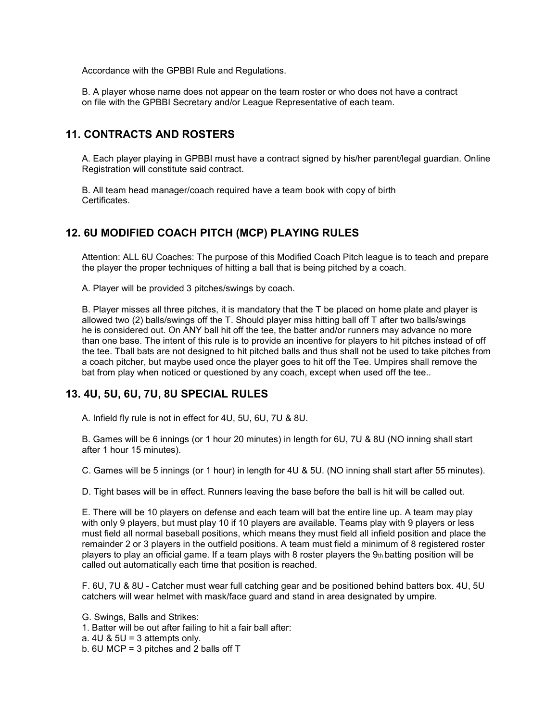Accordance with the GPBBI Rule and Regulations.

B. A player whose name does not appear on the team roster or who does not have a contract on file with the GPBBI Secretary and/or League Representative of each team.

### 11. CONTRACTS AND ROSTERS

A. Each player playing in GPBBI must have a contract signed by his/her parent/legal guardian. Online Registration will constitute said contract.

B. All team head manager/coach required have a team book with copy of birth **Certificates** 

#### 12. 6U MODIFIED COACH PITCH (MCP) PLAYING RULES

Attention: ALL 6U Coaches: The purpose of this Modified Coach Pitch league is to teach and prepare the player the proper techniques of hitting a ball that is being pitched by a coach.

A. Player will be provided 3 pitches/swings by coach.

B. Player misses all three pitches, it is mandatory that the T be placed on home plate and player is allowed two (2) balls/swings off the T. Should player miss hitting ball off T after two balls/swings he is considered out. On ANY ball hit off the tee, the batter and/or runners may advance no more than one base. The intent of this rule is to provide an incentive for players to hit pitches instead of off the tee. Tball bats are not designed to hit pitched balls and thus shall not be used to take pitches from a coach pitcher, but maybe used once the player goes to hit off the Tee. Umpires shall remove the bat from play when noticed or questioned by any coach, except when used off the tee..

#### 13. 4U, 5U, 6U, 7U, 8U SPECIAL RULES

A. Infield fly rule is not in effect for 4U, 5U, 6U, 7U & 8U.

B. Games will be 6 innings (or 1 hour 20 minutes) in length for 6U, 7U & 8U (NO inning shall start after 1 hour 15 minutes).

C. Games will be 5 innings (or 1 hour) in length for 4U & 5U. (NO inning shall start after 55 minutes).

D. Tight bases will be in effect. Runners leaving the base before the ball is hit will be called out.

E. There will be 10 players on defense and each team will bat the entire line up. A team may play with only 9 players, but must play 10 if 10 players are available. Teams play with 9 players or less must field all normal baseball positions, which means they must field all infield position and place the remainder 2 or 3 players in the outfield positions. A team must field a minimum of 8 registered roster players to play an official game. If a team plays with 8 roster players the  $9<sub>th</sub>$  batting position will be called out automatically each time that position is reached.

F. 6U, 7U & 8U - Catcher must wear full catching gear and be positioned behind batters box. 4U, 5U catchers will wear helmet with mask/face guard and stand in area designated by umpire.

G. Swings, Balls and Strikes:

- 1. Batter will be out after failing to hit a fair ball after:
- a.  $4U & 5U = 3$  attempts only.
- b. 6U MCP = 3 pitches and 2 balls off T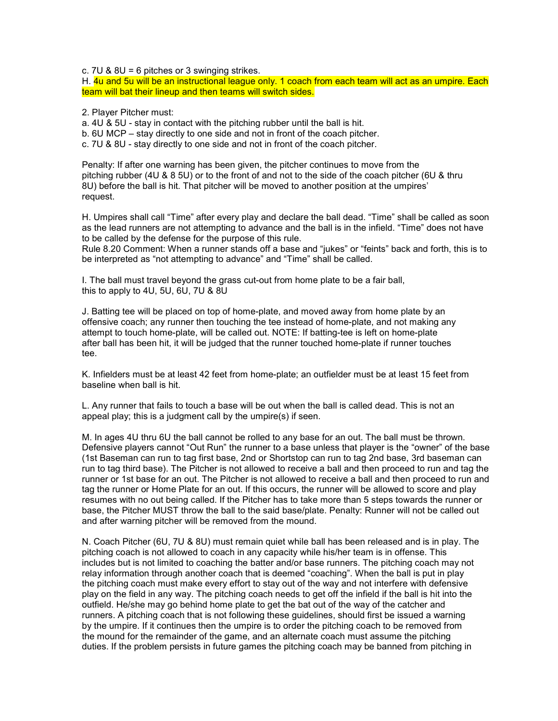c. 7U & 8U = 6 pitches or 3 swinging strikes.

H. 4u and 5u will be an instructional league only. 1 coach from each team will act as an umpire. Each team will bat their lineup and then teams will switch sides.

2. Player Pitcher must:

a. 4U & 5U - stay in contact with the pitching rubber until the ball is hit.

b. 6U MCP – stay directly to one side and not in front of the coach pitcher.

c. 7U & 8U - stay directly to one side and not in front of the coach pitcher.

Penalty: If after one warning has been given, the pitcher continues to move from the pitching rubber (4U & 8 5U) or to the front of and not to the side of the coach pitcher (6U & thru 8U) before the ball is hit. That pitcher will be moved to another position at the umpires' request.

H. Umpires shall call "Time" after every play and declare the ball dead. "Time" shall be called as soon as the lead runners are not attempting to advance and the ball is in the infield. "Time" does not have to be called by the defense for the purpose of this rule.

Rule 8.20 Comment: When a runner stands off a base and "jukes" or "feints" back and forth, this is to be interpreted as "not attempting to advance" and "Time" shall be called.

I. The ball must travel beyond the grass cut-out from home plate to be a fair ball, this to apply to 4U, 5U, 6U, 7U & 8U

J. Batting tee will be placed on top of home-plate, and moved away from home plate by an offensive coach; any runner then touching the tee instead of home-plate, and not making any attempt to touch home-plate, will be called out. NOTE: If batting-tee is left on home-plate after ball has been hit, it will be judged that the runner touched home-plate if runner touches tee.

K. Infielders must be at least 42 feet from home-plate; an outfielder must be at least 15 feet from baseline when ball is hit.

L. Any runner that fails to touch a base will be out when the ball is called dead. This is not an appeal play; this is a judgment call by the umpire(s) if seen.

M. In ages 4U thru 6U the ball cannot be rolled to any base for an out. The ball must be thrown. Defensive players cannot "Out Run" the runner to a base unless that player is the "owner" of the base (1st Baseman can run to tag first base, 2nd or Shortstop can run to tag 2nd base, 3rd baseman can run to tag third base). The Pitcher is not allowed to receive a ball and then proceed to run and tag the runner or 1st base for an out. The Pitcher is not allowed to receive a ball and then proceed to run and tag the runner or Home Plate for an out. If this occurs, the runner will be allowed to score and play resumes with no out being called. If the Pitcher has to take more than 5 steps towards the runner or base, the Pitcher MUST throw the ball to the said base/plate. Penalty: Runner will not be called out and after warning pitcher will be removed from the mound.

N. Coach Pitcher (6U, 7U & 8U) must remain quiet while ball has been released and is in play. The pitching coach is not allowed to coach in any capacity while his/her team is in offense. This includes but is not limited to coaching the batter and/or base runners. The pitching coach may not relay information through another coach that is deemed "coaching". When the ball is put in play the pitching coach must make every effort to stay out of the way and not interfere with defensive play on the field in any way. The pitching coach needs to get off the infield if the ball is hit into the outfield. He/she may go behind home plate to get the bat out of the way of the catcher and runners. A pitching coach that is not following these guidelines, should first be issued a warning by the umpire. If it continues then the umpire is to order the pitching coach to be removed from the mound for the remainder of the game, and an alternate coach must assume the pitching duties. If the problem persists in future games the pitching coach may be banned from pitching in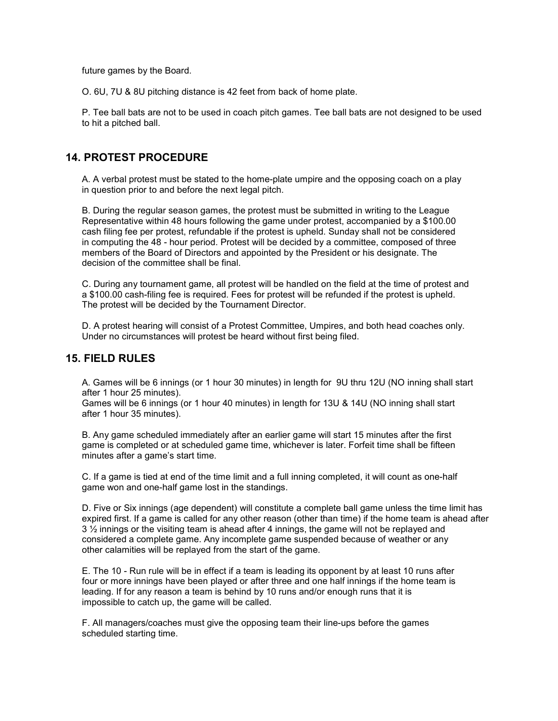future games by the Board.

O. 6U, 7U & 8U pitching distance is 42 feet from back of home plate.

P. Tee ball bats are not to be used in coach pitch games. Tee ball bats are not designed to be used to hit a pitched ball.

### 14. PROTEST PROCEDURE

A. A verbal protest must be stated to the home-plate umpire and the opposing coach on a play in question prior to and before the next legal pitch.

B. During the regular season games, the protest must be submitted in writing to the League Representative within 48 hours following the game under protest, accompanied by a \$100.00 cash filing fee per protest, refundable if the protest is upheld. Sunday shall not be considered in computing the 48 - hour period. Protest will be decided by a committee, composed of three members of the Board of Directors and appointed by the President or his designate. The decision of the committee shall be final.

C. During any tournament game, all protest will be handled on the field at the time of protest and a \$100.00 cash-filing fee is required. Fees for protest will be refunded if the protest is upheld. The protest will be decided by the Tournament Director.

D. A protest hearing will consist of a Protest Committee, Umpires, and both head coaches only. Under no circumstances will protest be heard without first being filed.

#### 15. FIELD RULES

A. Games will be 6 innings (or 1 hour 30 minutes) in length for 9U thru 12U (NO inning shall start after 1 hour 25 minutes).

Games will be 6 innings (or 1 hour 40 minutes) in length for 13U & 14U (NO inning shall start after 1 hour 35 minutes).

B. Any game scheduled immediately after an earlier game will start 15 minutes after the first game is completed or at scheduled game time, whichever is later. Forfeit time shall be fifteen minutes after a game's start time.

C. If a game is tied at end of the time limit and a full inning completed, it will count as one-half game won and one-half game lost in the standings.

D. Five or Six innings (age dependent) will constitute a complete ball game unless the time limit has expired first. If a game is called for any other reason (other than time) if the home team is ahead after  $3\frac{1}{2}$  innings or the visiting team is ahead after 4 innings, the game will not be replayed and considered a complete game. Any incomplete game suspended because of weather or any other calamities will be replayed from the start of the game.

E. The 10 - Run rule will be in effect if a team is leading its opponent by at least 10 runs after four or more innings have been played or after three and one half innings if the home team is leading. If for any reason a team is behind by 10 runs and/or enough runs that it is impossible to catch up, the game will be called.

F. All managers/coaches must give the opposing team their line-ups before the games scheduled starting time.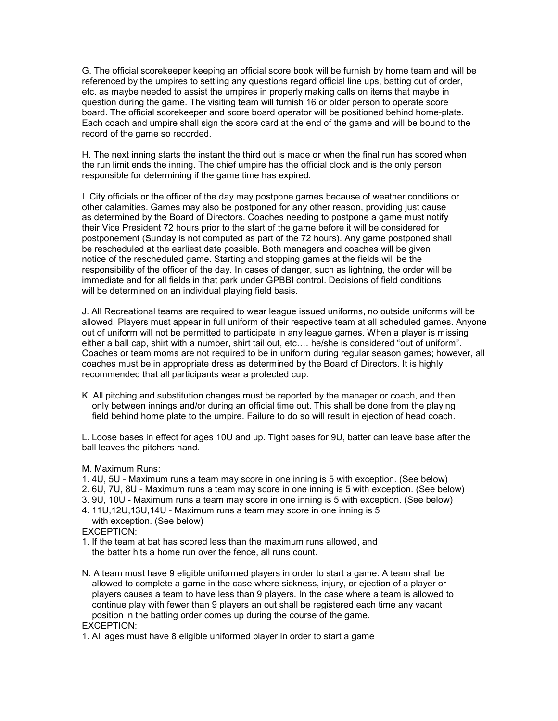G. The official scorekeeper keeping an official score book will be furnish by home team and will be referenced by the umpires to settling any questions regard official line ups, batting out of order, etc. as maybe needed to assist the umpires in properly making calls on items that maybe in question during the game. The visiting team will furnish 16 or older person to operate score board. The official scorekeeper and score board operator will be positioned behind home-plate. Each coach and umpire shall sign the score card at the end of the game and will be bound to the record of the game so recorded.

H. The next inning starts the instant the third out is made or when the final run has scored when the run limit ends the inning. The chief umpire has the official clock and is the only person responsible for determining if the game time has expired.

I. City officials or the officer of the day may postpone games because of weather conditions or other calamities. Games may also be postponed for any other reason, providing just cause as determined by the Board of Directors. Coaches needing to postpone a game must notify their Vice President 72 hours prior to the start of the game before it will be considered for postponement (Sunday is not computed as part of the 72 hours). Any game postponed shall be rescheduled at the earliest date possible. Both managers and coaches will be given notice of the rescheduled game. Starting and stopping games at the fields will be the responsibility of the officer of the day. In cases of danger, such as lightning, the order will be immediate and for all fields in that park under GPBBI control. Decisions of field conditions will be determined on an individual playing field basis.

J. All Recreational teams are required to wear league issued uniforms, no outside uniforms will be allowed. Players must appear in full uniform of their respective team at all scheduled games. Anyone out of uniform will not be permitted to participate in any league games. When a player is missing either a ball cap, shirt with a number, shirt tail out, etc.… he/she is considered "out of uniform". Coaches or team moms are not required to be in uniform during regular season games; however, all coaches must be in appropriate dress as determined by the Board of Directors. It is highly recommended that all participants wear a protected cup.

K. All pitching and substitution changes must be reported by the manager or coach, and then only between innings and/or during an official time out. This shall be done from the playing field behind home plate to the umpire. Failure to do so will result in ejection of head coach.

L. Loose bases in effect for ages 10U and up. Tight bases for 9U, batter can leave base after the ball leaves the pitchers hand.

M. Maximum Runs:

- 1. 4U, 5U Maximum runs a team may score in one inning is 5 with exception. (See below)
- 2. 6U, 7U, 8U Maximum runs a team may score in one inning is 5 with exception. (See below)
- 3. 9U, 10U Maximum runs a team may score in one inning is 5 with exception. (See below)

4. 11U,12U,13U,14U - Maximum runs a team may score in one inning is 5 with exception. (See below)

EXCEPTION:

- 1. If the team at bat has scored less than the maximum runs allowed, and the batter hits a home run over the fence, all runs count.
- N. A team must have 9 eligible uniformed players in order to start a game. A team shall be allowed to complete a game in the case where sickness, injury, or ejection of a player or players causes a team to have less than 9 players. In the case where a team is allowed to continue play with fewer than 9 players an out shall be registered each time any vacant position in the batting order comes up during the course of the game.

EXCEPTION:

1. All ages must have 8 eligible uniformed player in order to start a game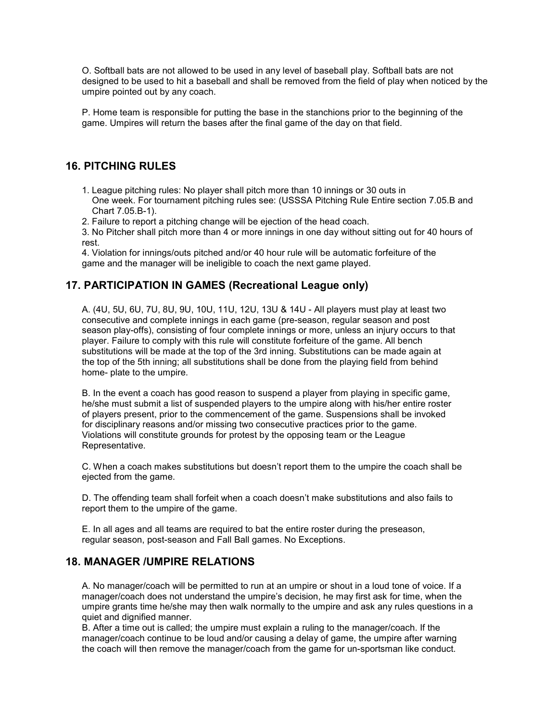O. Softball bats are not allowed to be used in any level of baseball play. Softball bats are not designed to be used to hit a baseball and shall be removed from the field of play when noticed by the umpire pointed out by any coach.

P. Home team is responsible for putting the base in the stanchions prior to the beginning of the game. Umpires will return the bases after the final game of the day on that field.

### 16. PITCHING RULES

- 1. League pitching rules: No player shall pitch more than 10 innings or 30 outs in One week. For tournament pitching rules see: (USSSA Pitching Rule Entire section 7.05.B and Chart 7.05.B-1).
- 2. Failure to report a pitching change will be ejection of the head coach.
- 3. No Pitcher shall pitch more than 4 or more innings in one day without sitting out for 40 hours of rest.

4. Violation for innings/outs pitched and/or 40 hour rule will be automatic forfeiture of the game and the manager will be ineligible to coach the next game played.

### 17. PARTICIPATION IN GAMES (Recreational League only)

A. (4U, 5U, 6U, 7U, 8U, 9U, 10U, 11U, 12U, 13U & 14U - All players must play at least two consecutive and complete innings in each game (pre-season, regular season and post season play-offs), consisting of four complete innings or more, unless an injury occurs to that player. Failure to comply with this rule will constitute forfeiture of the game. All bench substitutions will be made at the top of the 3rd inning. Substitutions can be made again at the top of the 5th inning; all substitutions shall be done from the playing field from behind home- plate to the umpire.

B. In the event a coach has good reason to suspend a player from playing in specific game, he/she must submit a list of suspended players to the umpire along with his/her entire roster of players present, prior to the commencement of the game. Suspensions shall be invoked for disciplinary reasons and/or missing two consecutive practices prior to the game. Violations will constitute grounds for protest by the opposing team or the League Representative.

C. When a coach makes substitutions but doesn't report them to the umpire the coach shall be ejected from the game.

D. The offending team shall forfeit when a coach doesn't make substitutions and also fails to report them to the umpire of the game.

E. In all ages and all teams are required to bat the entire roster during the preseason, regular season, post-season and Fall Ball games. No Exceptions.

#### 18. MANAGER /UMPIRE RELATIONS

A. No manager/coach will be permitted to run at an umpire or shout in a loud tone of voice. If a manager/coach does not understand the umpire's decision, he may first ask for time, when the umpire grants time he/she may then walk normally to the umpire and ask any rules questions in a quiet and dignified manner.

B. After a time out is called; the umpire must explain a ruling to the manager/coach. If the manager/coach continue to be loud and/or causing a delay of game, the umpire after warning the coach will then remove the manager/coach from the game for un-sportsman like conduct.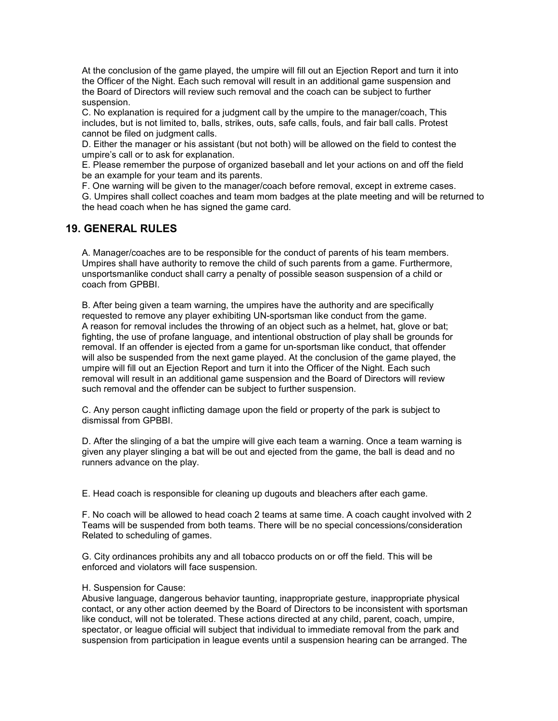At the conclusion of the game played, the umpire will fill out an Ejection Report and turn it into the Officer of the Night. Each such removal will result in an additional game suspension and the Board of Directors will review such removal and the coach can be subject to further suspension.

C. No explanation is required for a judgment call by the umpire to the manager/coach, This includes, but is not limited to, balls, strikes, outs, safe calls, fouls, and fair ball calls. Protest cannot be filed on judgment calls.

D. Either the manager or his assistant (but not both) will be allowed on the field to contest the umpire's call or to ask for explanation.

E. Please remember the purpose of organized baseball and let your actions on and off the field be an example for your team and its parents.

F. One warning will be given to the manager/coach before removal, except in extreme cases.

G. Umpires shall collect coaches and team mom badges at the plate meeting and will be returned to the head coach when he has signed the game card.

### 19. GENERAL RULES

A. Manager/coaches are to be responsible for the conduct of parents of his team members. Umpires shall have authority to remove the child of such parents from a game. Furthermore, unsportsmanlike conduct shall carry a penalty of possible season suspension of a child or coach from GPBBI.

B. After being given a team warning, the umpires have the authority and are specifically requested to remove any player exhibiting UN-sportsman like conduct from the game. A reason for removal includes the throwing of an object such as a helmet, hat, glove or bat; fighting, the use of profane language, and intentional obstruction of play shall be grounds for removal. If an offender is ejected from a game for un-sportsman like conduct, that offender will also be suspended from the next game played. At the conclusion of the game played, the umpire will fill out an Ejection Report and turn it into the Officer of the Night. Each such removal will result in an additional game suspension and the Board of Directors will review such removal and the offender can be subject to further suspension.

C. Any person caught inflicting damage upon the field or property of the park is subject to dismissal from GPBBI.

D. After the slinging of a bat the umpire will give each team a warning. Once a team warning is given any player slinging a bat will be out and ejected from the game, the ball is dead and no runners advance on the play.

E. Head coach is responsible for cleaning up dugouts and bleachers after each game.

F. No coach will be allowed to head coach 2 teams at same time. A coach caught involved with 2 Teams will be suspended from both teams. There will be no special concessions/consideration Related to scheduling of games.

G. City ordinances prohibits any and all tobacco products on or off the field. This will be enforced and violators will face suspension.

#### H. Suspension for Cause:

Abusive language, dangerous behavior taunting, inappropriate gesture, inappropriate physical contact, or any other action deemed by the Board of Directors to be inconsistent with sportsman like conduct, will not be tolerated. These actions directed at any child, parent, coach, umpire, spectator, or league official will subject that individual to immediate removal from the park and suspension from participation in league events until a suspension hearing can be arranged. The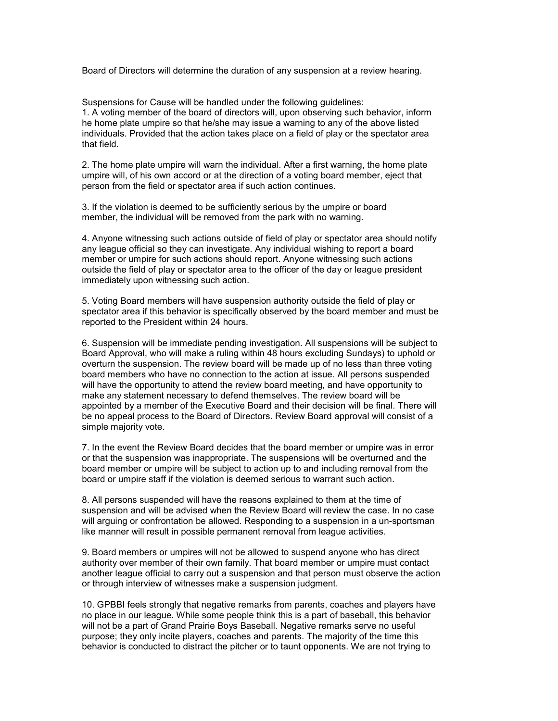Board of Directors will determine the duration of any suspension at a review hearing.

Suspensions for Cause will be handled under the following guidelines: 1. A voting member of the board of directors will, upon observing such behavior, inform he home plate umpire so that he/she may issue a warning to any of the above listed individuals. Provided that the action takes place on a field of play or the spectator area that field.

2. The home plate umpire will warn the individual. After a first warning, the home plate umpire will, of his own accord or at the direction of a voting board member, eject that person from the field or spectator area if such action continues.

3. If the violation is deemed to be sufficiently serious by the umpire or board member, the individual will be removed from the park with no warning.

4. Anyone witnessing such actions outside of field of play or spectator area should notify any league official so they can investigate. Any individual wishing to report a board member or umpire for such actions should report. Anyone witnessing such actions outside the field of play or spectator area to the officer of the day or league president immediately upon witnessing such action.

5. Voting Board members will have suspension authority outside the field of play or spectator area if this behavior is specifically observed by the board member and must be reported to the President within 24 hours.

6. Suspension will be immediate pending investigation. All suspensions will be subject to Board Approval, who will make a ruling within 48 hours excluding Sundays) to uphold or overturn the suspension. The review board will be made up of no less than three voting board members who have no connection to the action at issue. All persons suspended will have the opportunity to attend the review board meeting, and have opportunity to make any statement necessary to defend themselves. The review board will be appointed by a member of the Executive Board and their decision will be final. There will be no appeal process to the Board of Directors. Review Board approval will consist of a simple majority vote.

7. In the event the Review Board decides that the board member or umpire was in error or that the suspension was inappropriate. The suspensions will be overturned and the board member or umpire will be subject to action up to and including removal from the board or umpire staff if the violation is deemed serious to warrant such action.

8. All persons suspended will have the reasons explained to them at the time of suspension and will be advised when the Review Board will review the case. In no case will arguing or confrontation be allowed. Responding to a suspension in a un-sportsman like manner will result in possible permanent removal from league activities.

9. Board members or umpires will not be allowed to suspend anyone who has direct authority over member of their own family. That board member or umpire must contact another league official to carry out a suspension and that person must observe the action or through interview of witnesses make a suspension judgment.

10. GPBBI feels strongly that negative remarks from parents, coaches and players have no place in our league. While some people think this is a part of baseball, this behavior will not be a part of Grand Prairie Boys Baseball. Negative remarks serve no useful purpose; they only incite players, coaches and parents. The majority of the time this behavior is conducted to distract the pitcher or to taunt opponents. We are not trying to